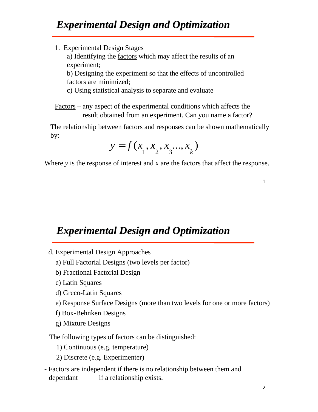1. Experimental Design Stages

a) Identifying the factors which may affect the results of an experiment;

b) Designing the experiment so that the effects of uncontrolled factors are minimized;

c) Using statistical analysis to separate and evaluate

Factors – any aspect of the experimental conditions which affects the result obtained from an experiment. Can you name a factor?

The relationship between factors and responses can be shown mathematically by:

$$
y = f(x_1, x_2, x_3, \ldots, x_k)
$$

Where *y* is the response of interest and *x* are the factors that affect the response.

 *Experimental Design and Optimization Experimental Design and Optimization*

- d. Experimental Design Approaches
	- a) Full Factorial Designs (two levels per factor)
	- b) Fractional Factorial Design
	- c) Latin Squares
	- d) Greco-Latin Squares
	- e) Response Surface Designs (more than two levels for one or more factors)
	- f) Box-Behnken Designs
	- g) Mixture Designs

The following types of factors can be distinguished:

- 1) Continuous (e.g. temperature)
- 2) Discrete (e.g. Experimenter)
- Factors are independent if there is no relationship between them and dependant if a relationship exists.

1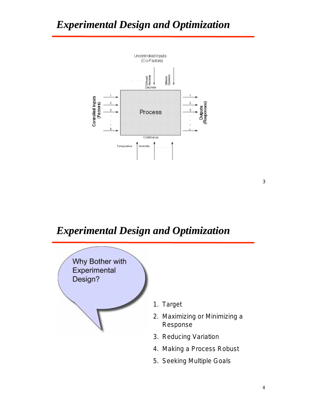

#### *Experimental Design and Optimization Experimental Design and Optimization*



3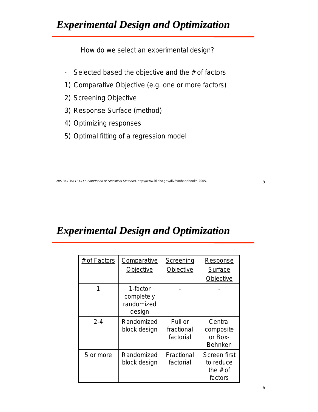How do we select an experimental design?

- Selected based the objective and the  $#$  of factors
- 1) Comparative Objective (e.g. one or more factors)
- 2) Screening Objective
- 3) Response Surface (method)
- 4) Optimizing responses
- 5) Optimal fitting of a regression model

# *Experimental Design and Optimization Experimental Design and Optimization*

| # of Factors | Comparative                                    | Screening                          | Response                                           |
|--------------|------------------------------------------------|------------------------------------|----------------------------------------------------|
|              | Objective                                      | Objective                          | Surface                                            |
|              |                                                |                                    | Objective                                          |
|              | 1-factor<br>completely<br>randomized<br>design |                                    |                                                    |
| $2 - 4$      | Randomized<br>block design                     | Full or<br>fractional<br>factorial | Central<br>composite<br>or Box-<br><b>Behnken</b>  |
| 5 or more    | Randomized<br>block design                     | Fractional<br>factorial            | Screen first<br>to reduce<br>the $#$ of<br>factors |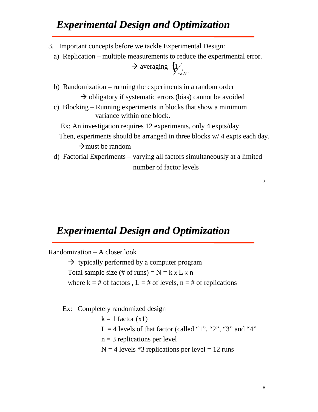- 3. Important concepts before we tackle Experimental Design:
	- a) Replication multiple measurements to reduce the experimental error.

$$
\rightarrow \text{ averaging } \bigcup_{n \in \mathbb{N}}
$$

 b) Randomization – running the experiments in a random order  $\rightarrow$  obligatory if systematic errors (bias) cannot be avoided

 c) Blocking – Running experiments in blocks that show a minimum variance within one block.

Ex: An investigation requires 12 experiments, only 4 expts/day

- Then, experiments should be arranged in three blocks w/ 4 expts each day.  $\rightarrow$  must be random
	- number of factor levels d) Factorial Experiments – varying all factors simultaneously at a limited

#### 7

#### *Experimental Design and Optimization Experimental Design and Optimization*

Randomization – A closer look

 $\rightarrow$  typically performed by a computer program Total sample size (# of runs) =  $N = k x L x n$ where  $k = #$  of factors,  $L = #$  of levels,  $n = #$  of replications

Ex: Completely randomized design

 $k = 1$  factor  $(x1)$  $L = 4$  levels of that factor (called "1", "2", "3" and "4"  $n = 3$  replications per level  $N = 4$  levels \*3 replications per level = 12 runs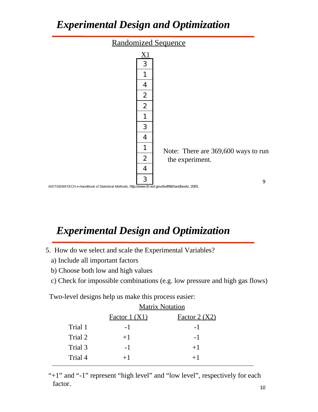

*NIST/SEMATECH e-Handbook of Statistical Methods*, http://www.itl.nist.gov/div898/handbook/, 2005.

# *Experimental Design and Optimization Experimental Design and Optimization*

- 5. How do we select and scale the Experimental Variables?
	- a) Include all important factors
	- b) Choose both low and high values
	- c) Check for impossible combinations (e.g. low pressure and high gas flows)

Two-level designs help us make this process easier:

|         | <b>Matrix Notation</b> |              |  |  |
|---------|------------------------|--------------|--|--|
|         | Factor 1 (X1)          | Factor 2(X2) |  |  |
| Trial 1 | $-1$                   | -1           |  |  |
| Trial 2 | $+1$                   | $-1$         |  |  |
| Trial 3 | $-1$                   | $+1$         |  |  |
| Trial 4 | $+1$                   | $+1$         |  |  |
|         |                        |              |  |  |

"+1" and "-1" represent "high level" and "low level", respectively for each factor.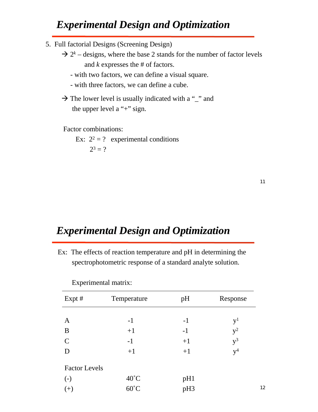- 5. Full factorial Designs (Screening Design)
- $\rightarrow$  2<sup>k</sup> designs, where the base 2 stands for the number of factor levels and *k* expresses the # of factors.
	- with two factors, we can define a visual square.
	- with three factors, we can define a cube.
- $\rightarrow$  The lower level is usually indicated with a "\_" and the upper level a "+" sign.

Factor combinations:

Ex:  $2^2 = ?$  experimental conditions  $2^3 = ?$ 

12

#### *Experimental Design and Optimization Experimental Design and Optimization*

 Ex: The effects of reaction temperature and pH in determining the spectrophotometric response of a standard analyte solution.

| $Expt$ #             | Temperature    | pH   | Response         |
|----------------------|----------------|------|------------------|
|                      |                |      |                  |
| $\mathbf{A}$         | $-1$           | $-1$ | $\mathrm{y}^{1}$ |
| B                    | $+1$           | $-1$ | $y^2$            |
| $\mathcal{C}$        | $-1$           | $+1$ | $y^3$            |
| D                    | $+1$           | $+1$ | v <sup>4</sup>   |
| <b>Factor Levels</b> |                |      |                  |
| $\left( -\right)$    | $40^{\circ}$ C | pH1  |                  |
| $(+)$                | $60^{\circ}$ C | pH3  |                  |

Experimental matrix: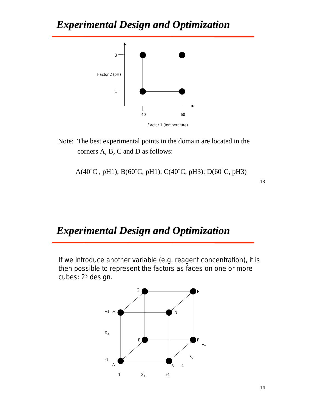

 Note: The best experimental points in the domain are located in the corners A, B, C and D as follows:

A(40˚C , pH1); B(60˚C, pH1); C(40˚C, pH3); D(60˚C, pH3)

13

#### *Experimental Design and Optimization Experimental Design and Optimization*

If we introduce another variable (e.g. reagent concentration), it is then possible to represent the factors as faces on one or more cubes: 23 design.

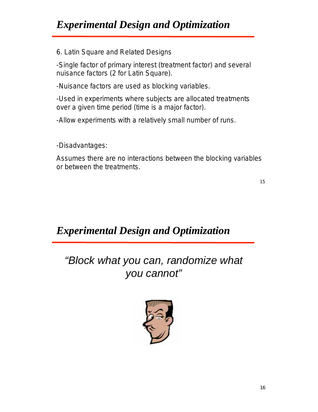6. Latin Square and Related Designs

-Single factor of primary interest (treatment factor) and several nuisance factors (2 for Latin Square).

-Nuisance factors are used as blocking variables.

-Used in experiments where subjects are allocated treatments over a given time period (time is a major factor).

-Allow experiments with a relatively small number of runs.

-Disadvantages:

Assumes there are no interactions between the blocking variables or between the treatments.

15

 *Experimental Design and Optimization Experimental Design and Optimization*

*"Block what you can, randomize what you cannot"*

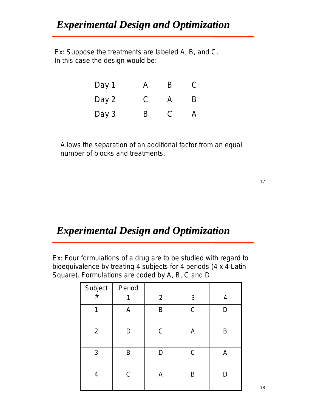Ex: Suppose the treatments are labeled A, B, and C. In this case the design would be:

| Day 1 | Д | B | U  |
|-------|---|---|----|
| Day 2 | C | Д | B. |
| Day 3 | B | C | Д  |

Allows the separation of an additional factor from an equal number of blocks and treatments.

#### *Experimental Design and Optimization Experimental Design and Optimization*

Ex: Four formulations of a drug are to be studied with regard to bioequivalence by treating 4 subjects for 4 periods (4 x 4 Latin Square). Formulations are coded by A, B, C and D.

| Subject        | Period       |                |              |   |
|----------------|--------------|----------------|--------------|---|
| $\#$           |              | $\overline{2}$ | 3            | 4 |
|                | A            | B              | $\mathsf{C}$ | D |
| $\overline{2}$ |              | $\mathsf{C}$   | Α            | B |
| $\mathfrak{Z}$ | B            | D              | $\mathsf{C}$ | Α |
| 4              | $\mathsf{C}$ | А              | B            |   |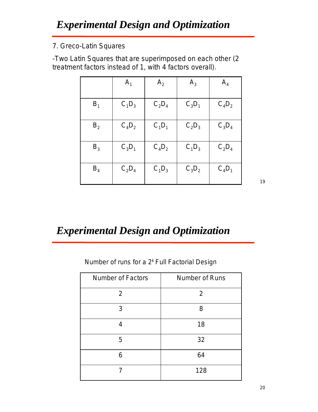#### 7. Greco-Latin Squares

-Two Latin Squares that are superimposed on each other (2 treatment factors instead of 1, with 4 factors overall).

|         | A <sub>1</sub> | A <sub>2</sub> | $A_3$    | $A_4$    |
|---------|----------------|----------------|----------|----------|
| $B_1$   | $C_1D_3$       | $C_2D_4$       | $C_3D_1$ | $C_4D_2$ |
| $B_{2}$ | $C_4D_2$       | $C_1D_1$       | $C_2D_3$ | $C_3D_4$ |
| $B_3$   | $C_3D_1$       | $C_4D_2$       | $C_1D_3$ | $C_2D_4$ |
| $B_4$   | $C_2D_4$       | $C_1D_3$       | $C_3D_2$ | $C_4D_1$ |

19

# *Experimental Design and Optimization Experimental Design and Optimization*

Number of runs for a 2<sup>k</sup> Full Factorial Design

| <b>Number of Factors</b> | Number of Runs |
|--------------------------|----------------|
| 2                        | 2              |
| 3                        | 8              |
|                          | 18             |
| 5                        | 32             |
| 6                        | 64             |
|                          | 128            |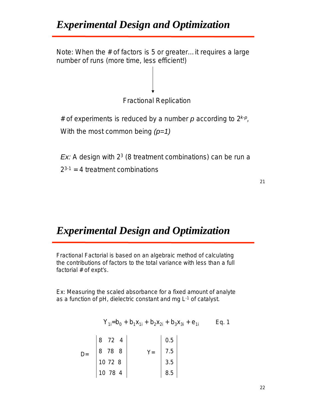Note: When the # of factors is 5 or greater…it requires a large number of runs (more time, less efficient!)



 $2^{3-1}$  = 4 treatment combinations

21

#### *Experimental Design and Optimization Experimental Design and Optimization*

Fractional Factorial is based on an algebraic method of calculating the contributions of factors to the total variance with less than a full factorial # of expt's.

Ex: Measuring the scaled absorbance for a fixed amount of analyte as a function of pH, dielectric constant and mg L-1 of catalyst.

$$
Y_{1i} = b_0 + b_1 X_{1i} + b_2 X_{2i} + b_3 X_{3i} + e_{1i}
$$
 Eq. 1

| 8 | 72 4    |  | 0.5 |
|---|---------|--|-----|
| 8 | 78 8    |  | 7.5 |
|   | 10 72 8 |  | 3.5 |
|   | 10 78 4 |  | 8.5 |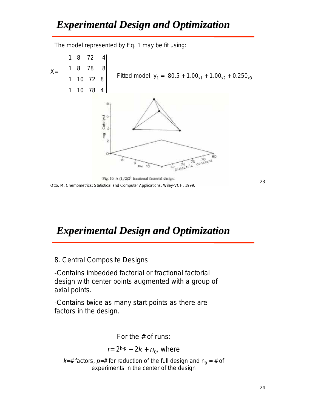The model represented by Eq. 1 may be fit using:



23

#### *Experimental Design and Optimization Experimental Design and Optimization*

8. Central Composite Designs

-Contains imbedded factorial or fractional factorial design with center points augmented with a group of axial points.

-Contains twice as many start points as there are factors in the design.

For the # of runs:

 $r = 2^{k-p} + 2k + n_0$ , where

 $k=$ # factors,  $p=$  # for reduction of the full design and  $n_0 =$  # of experiments in the center of the design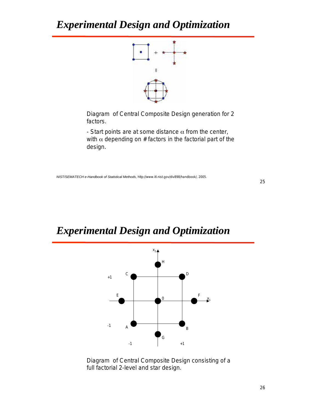

Diagram of Central Composite Design generation for 2 factors.

- Start points are at some distance  $\alpha$  from the center, with  $\alpha$  depending on # factors in the factorial part of the design.

*NIST/SEMATECH e-Handbook of Statistical Methods*, http://www.itl.nist.gov/div898/handbook/, 2005.

### *Experimental Design and Optimization Experimental Design and Optimization*



Diagram of Central Composite Design consisting of a full factorial 2-level and star design.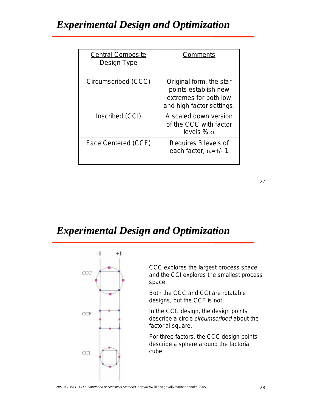| <b>Central Composite</b><br>Design Type | Comments                                                                                              |
|-----------------------------------------|-------------------------------------------------------------------------------------------------------|
| Circumscribed (CCC)                     | Original form, the star<br>points establish new<br>extremes for both low<br>and high factor settings. |
| Inscribed (CCI)                         | A scaled down version<br>of the CCC with factor<br>levels $\%$ $\alpha$                               |
| Face Centered (CCF)                     | Requires 3 levels of<br>each factor, $\alpha$ =+/- 1                                                  |

# *Experimental Design and Optimization Experimental Design and Optimization*



CCC explores the largest process space and the CCI explores the smallest process space.

Both the CCC and CCI are rotatable designs, but the CCF is not.

In the CCC design, the design points describe a circle *circumscribed* about the factorial square.

For three factors, the CCC design points describe a sphere around the factorial cube.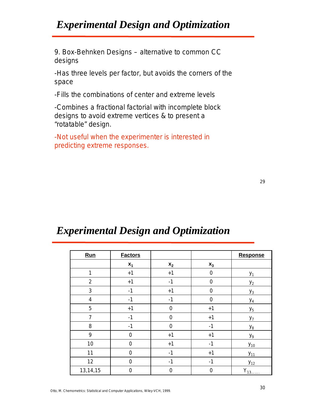9. Box-Behnken Designs – alternative to common CC designs

-Has three levels per factor, but avoids the corners of the space

-Fills the combinations of center and extreme levels

-Combines a fractional factorial with incomplete block designs to avoid extreme vertices & to present a "rotatable" design.

-Not useful when the experimenter is interested in predicting extreme responses.

| Run            | <b>Factors</b> |             |                | Response       |
|----------------|----------------|-------------|----------------|----------------|
|                | $x_1$          | $x_2$       | $x_3$          |                |
| $\mathbf{1}$   | $+1$           | $+1$        | 0              | $y_1$          |
| $\overline{2}$ | $+1$           | $-1$        | $\mathbf 0$    | $y_2$          |
| 3              | $-1$           | $+1$        | $\overline{0}$ | $y_3$          |
| $\overline{4}$ | $-1$           | $-1$        | $\mathbf 0$    | $y_4$          |
| 5              | $+1$           | $\mathbf 0$ | $+1$           | $y_{5}$        |
| $\overline{7}$ | $-1$           | $\mathbf 0$ | $+1$           | $y_7$          |
| 8              | $-1$           | $\mathbf 0$ | $-1$           | $y_8$          |
| 9              | $\overline{0}$ | $+1$        | $+1$           | y <sub>9</sub> |
| 10             | $\overline{0}$ | $+1$        | $-1$           | $y_{10}$       |
| 11             | $\mathbf 0$    | $-1$        | $+1$           | $y_{11}$       |
| 12             | $\overline{0}$ | $-1$        | $-1$           | $y_{12}$       |
| 13,14,15       | 0              | $\mathbf 0$ | $\mathbf 0$    | $Y_{13}$       |

#### *Experimental Design and Optimization Experimental Design and Optimization*